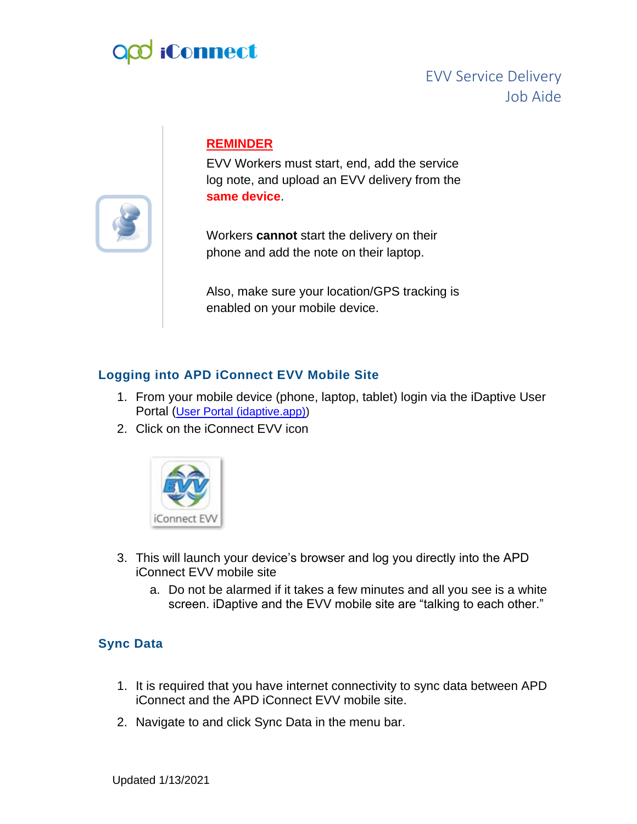# **iConnect**

## EVV Service Delivery Job Aide

### **REMINDER**

EVV Workers must start, end, add the service log note, and upload an EVV delivery from the **same device**.

Workers **cannot** start the delivery on their phone and add the note on their laptop.

Also, make sure your location/GPS tracking is enabled on your mobile device.

#### **Logging into APD iConnect EVV Mobile Site**

- 1. From your mobile device (phone, laptop, tablet) login via the iDaptive User Portal ([User Portal \(idaptive.app\)\)](https://gcc02.safelinks.protection.outlook.com/?url=https%3A%2F%2Fapddirect.my.idaptive.app%2Fmy&data=04%7C01%7CShelia.Mott%40apdcares.org%7C2a940b97a9e64c81d44008d89c72e7ee%7Ccfd244495ec34a3e8a9e1217913f4470%7C0%7C0%7C637431364622570318%7CUnknown%7CTWFpbGZsb3d8eyJWIjoiMC4wLjAwMDAiLCJQIjoiV2luMzIiLCJBTiI6Ik1haWwiLCJXVCI6Mn0%3D%7C1000&sdata=Vydqhr8Jn%2B9TdVMDVQbAuBw2Bv5C8uW7potx5rHHH8s%3D&reserved=0)
- 2. Click on the iConnect EVV icon



- 3. This will launch your device's browser and log you directly into the APD iConnect EVV mobile site
	- a. Do not be alarmed if it takes a few minutes and all you see is a white screen. iDaptive and the EVV mobile site are "talking to each other."

#### **Sync Data**

- 1. It is required that you have internet connectivity to sync data between APD iConnect and the APD iConnect EVV mobile site.
- 2. Navigate to and click Sync Data in the menu bar.

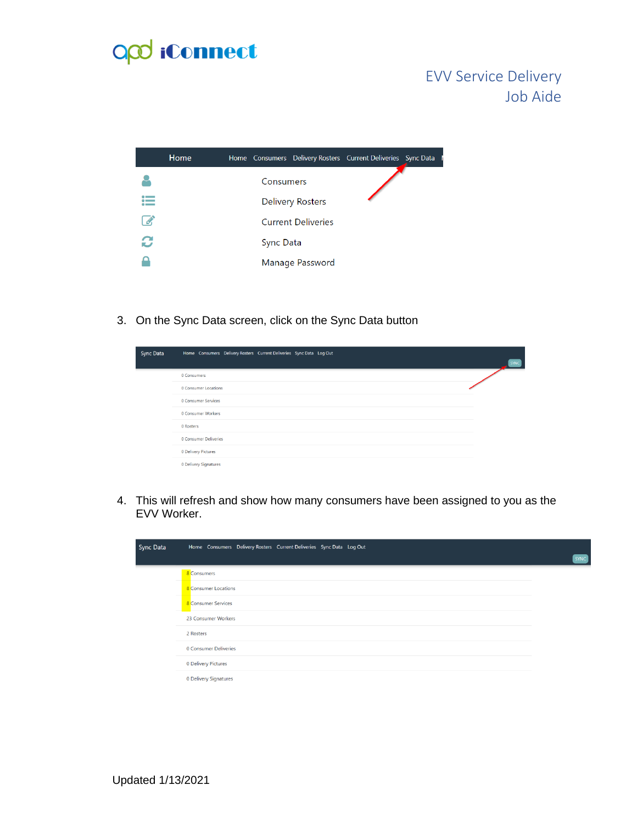

## EVV Service Delivery Job Aide

|   | Home |                  |                           | Home Consumers Delivery Rosters Current Deliveries Sync Data I |  |
|---|------|------------------|---------------------------|----------------------------------------------------------------|--|
|   |      | Consumers        |                           |                                                                |  |
|   |      |                  | <b>Delivery Rosters</b>   |                                                                |  |
|   |      |                  | <b>Current Deliveries</b> |                                                                |  |
| C |      | <b>Sync Data</b> |                           |                                                                |  |
|   |      |                  | Manage Password           |                                                                |  |
|   |      |                  |                           |                                                                |  |

3. On the Sync Data screen, click on the Sync Data button

| <b>Sync Data</b> | Home Consumers Delivery Rosters Current Deliveries Sync Data Log Out | <b>SYNC</b> |
|------------------|----------------------------------------------------------------------|-------------|
|                  | 0 Consumers                                                          |             |
|                  | 0 Consumer Locations                                                 |             |
|                  | 0 Consumer Services                                                  |             |
|                  | 0 Consumer Workers                                                   |             |
|                  | 0 Rosters                                                            |             |
|                  | 0 Consumer Deliveries                                                |             |
|                  | 0 Delivery Pictures                                                  |             |
|                  | 0 Delivery Signatures                                                |             |

4. This will refresh and show how many consumers have been assigned to you as the EVV Worker.

| <b>Sync Data</b> | Home Consumers Delivery Rosters Current Deliveries Sync Data Log Out | <b>SYNC</b> |
|------------------|----------------------------------------------------------------------|-------------|
|                  | 8 Consumers                                                          |             |
|                  | 8 Consumer Locations                                                 |             |
|                  | <b>8</b> Consumer Services                                           |             |
|                  | 23 Consumer Workers                                                  |             |
|                  | 2 Rosters                                                            |             |
|                  | 0 Consumer Deliveries                                                |             |
|                  | 0 Delivery Pictures                                                  |             |
|                  | 0 Delivery Signatures                                                |             |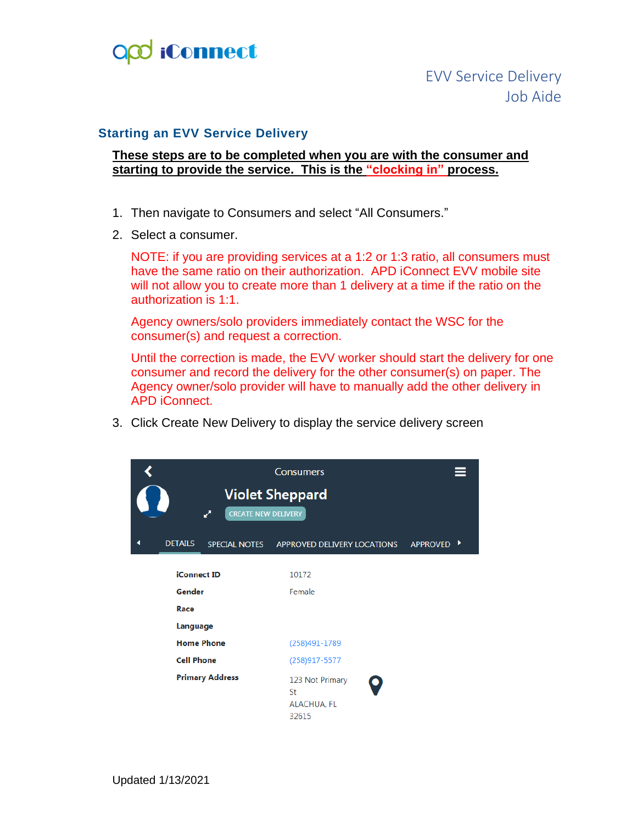

#### **Starting an EVV Service Delivery**

#### **These steps are to be completed when you are with the consumer and starting to provide the service. This is the "clocking in" process.**

- 1. Then navigate to Consumers and select "All Consumers."
- 2. Select a consumer.

NOTE: if you are providing services at a 1:2 or 1:3 ratio, all consumers must have the same ratio on their authorization. APD iConnect EVV mobile site will not allow you to create more than 1 delivery at a time if the ratio on the authorization is 1:1.

Agency owners/solo providers immediately contact the WSC for the consumer(s) and request a correction.

Until the correction is made, the EVV worker should start the delivery for one consumer and record the delivery for the other consumer(s) on paper. The Agency owner/solo provider will have to manually add the other delivery in APD iConnect.

3. Click Create New Delivery to display the service delivery screen

|                        |                            | <b>Consumers</b><br><b>Violet Sheppard</b>    |            |
|------------------------|----------------------------|-----------------------------------------------|------------|
| ↗                      | <b>CREATE NEW DELIVERY</b> |                                               |            |
| <b>DETAILS</b>         | <b>SPECIAL NOTES</b>       | APPROVED DELIVERY LOCATIONS                   | APPROVED ▶ |
| <b>iConnect ID</b>     |                            | 10172                                         |            |
| Gender                 |                            | Female                                        |            |
| Race                   |                            |                                               |            |
| Language               |                            |                                               |            |
| <b>Home Phone</b>      |                            | (258)491-1789                                 |            |
| <b>Cell Phone</b>      |                            | (258)917-5577                                 |            |
| <b>Primary Address</b> |                            | 123 Not Primary<br>St<br>ALACHUA, FL<br>32615 |            |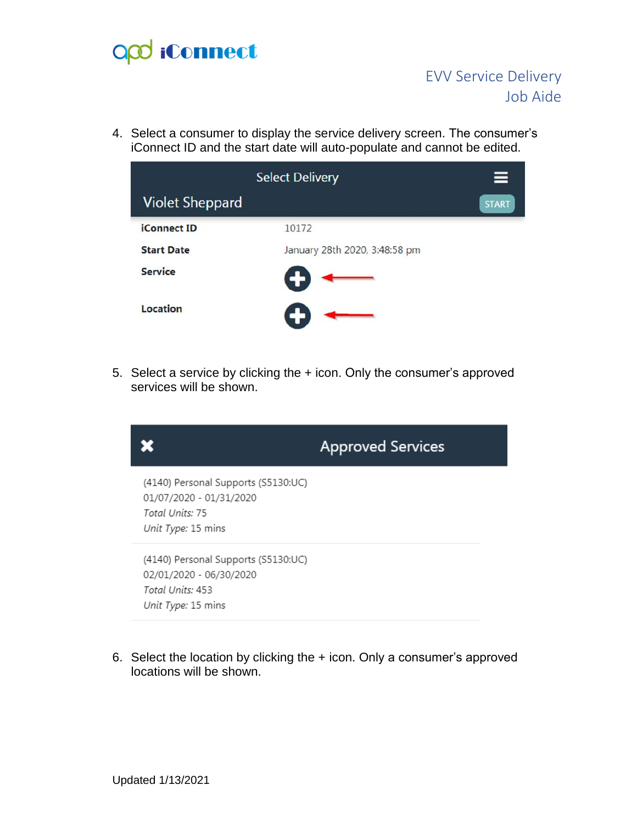# O<sub>co</sub> iConnect

4. Select a consumer to display the service delivery screen. The consumer's iConnect ID and the start date will auto-populate and cannot be edited.

|                        | <b>Select Delivery</b>        | ⋿            |
|------------------------|-------------------------------|--------------|
| <b>Violet Sheppard</b> |                               | <b>START</b> |
| <b>iConnect ID</b>     | 10172                         |              |
| <b>Start Date</b>      | January 28th 2020, 3:48:58 pm |              |
| <b>Service</b>         |                               |              |
| Location               |                               |              |

5. Select a service by clicking the + icon. Only the consumer's approved services will be shown.



6. Select the location by clicking the + icon. Only a consumer's approved locations will be shown.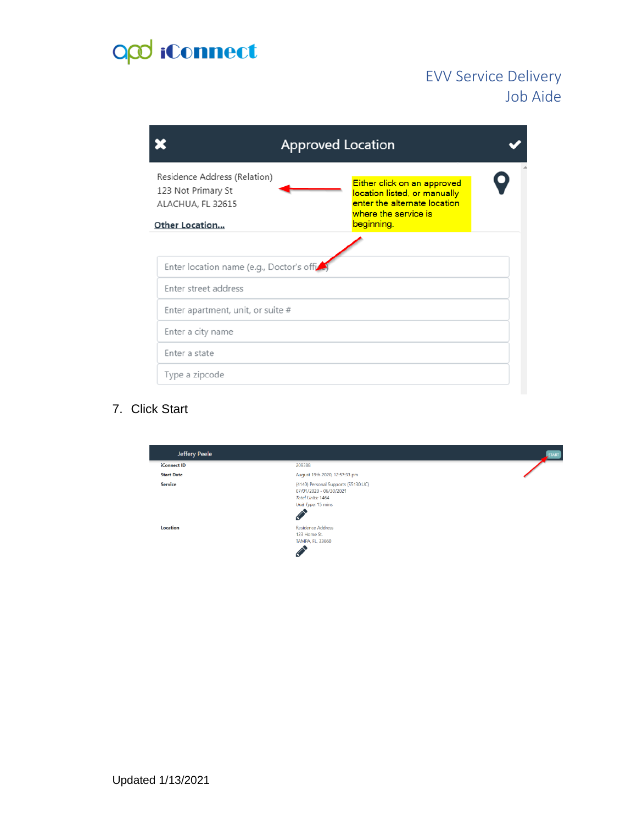# opd iConnect

## EVV Service Delivery Job Aide

|                                                                                                  | <b>Approved Location</b> |                                                                                                                                   |  |  |
|--------------------------------------------------------------------------------------------------|--------------------------|-----------------------------------------------------------------------------------------------------------------------------------|--|--|
| Residence Address (Relation)<br>123 Not Primary St<br>ALACHUA, FL 32615<br><b>Other Location</b> |                          | Either click on an approved<br>location listed, or manually<br>enter the alternate location<br>where the service is<br>beginning. |  |  |
|                                                                                                  |                          |                                                                                                                                   |  |  |
| Enter location name (e.g., Doctor's offi-                                                        |                          |                                                                                                                                   |  |  |
| Enter street address                                                                             |                          |                                                                                                                                   |  |  |
| Enter apartment, unit, or suite #                                                                |                          |                                                                                                                                   |  |  |
| Enter a city name                                                                                |                          |                                                                                                                                   |  |  |
| Enter a state                                                                                    |                          |                                                                                                                                   |  |  |
| Type a zipcode                                                                                   |                          |                                                                                                                                   |  |  |

### 7. Click Start

| Jeffery Peele      |                                                                                                                       | START |
|--------------------|-----------------------------------------------------------------------------------------------------------------------|-------|
| <b>iConnect ID</b> | 209388                                                                                                                |       |
| <b>Start Date</b>  | August 19th 2020, 12:57:33 pm                                                                                         |       |
| Service            | (4140) Personal Supports (S5130:UC)<br>07/01/2020 - 06/30/2021<br><b>Total Units: 1464</b><br>Unit Type: 15 mins<br>♦ |       |
| Location           | <b>Residence Address</b><br>123 Home St.<br><b>TAMPA, FL, 33660</b><br>C,                                             |       |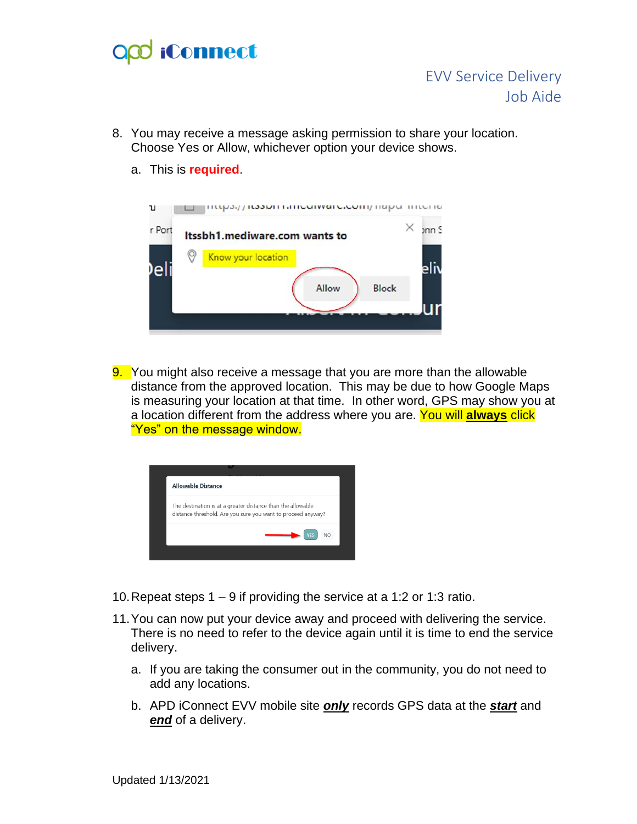# **iConnect**

- 8. You may receive a message asking permission to share your location. Choose Yes or Allow, whichever option your device shows.
	- a. This is **required**.



9. You might also receive a message that you are more than the allowable distance from the approved location. This may be due to how Google Maps is measuring your location at that time. In other word, GPS may show you at a location different from the address where you are. You will **always** click "Yes" on the message window.



- 10.Repeat steps 1 9 if providing the service at a 1:2 or 1:3 ratio.
- 11.You can now put your device away and proceed with delivering the service. There is no need to refer to the device again until it is time to end the service delivery.
	- a. If you are taking the consumer out in the community, you do not need to add any locations.
	- b. APD iConnect EVV mobile site *only* records GPS data at the *start* and *end* of a delivery.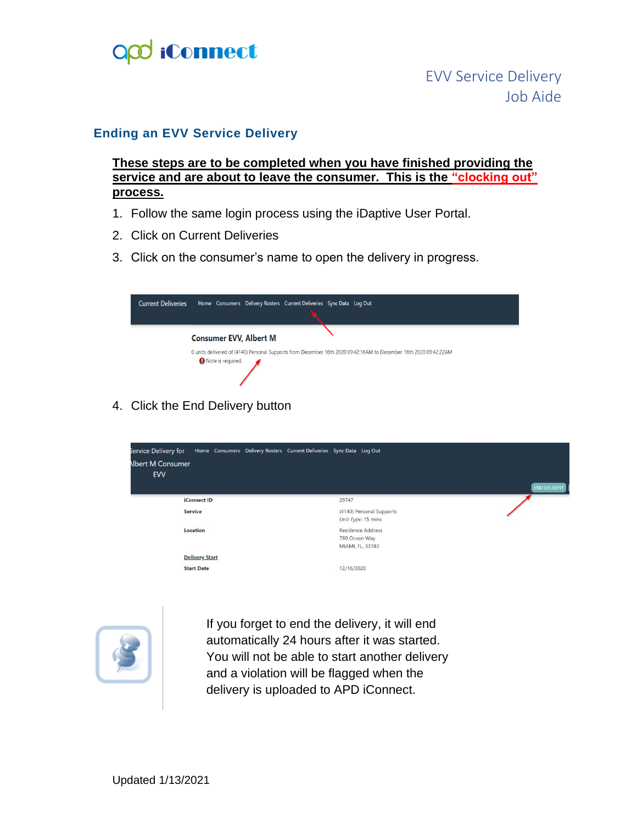

#### **Ending an EVV Service Delivery**

**These steps are to be completed when you have finished providing the service and are about to leave the consumer. This is the "clocking out" process.**

- 1. Follow the same login process using the iDaptive User Portal.
- 2. Click on Current Deliveries
- 3. Click on the consumer's name to open the delivery in progress.



4. Click the End Delivery button





If you forget to end the delivery, it will end automatically 24 hours after it was started. You will not be able to start another delivery and a violation will be flagged when the delivery is uploaded to APD iConnect.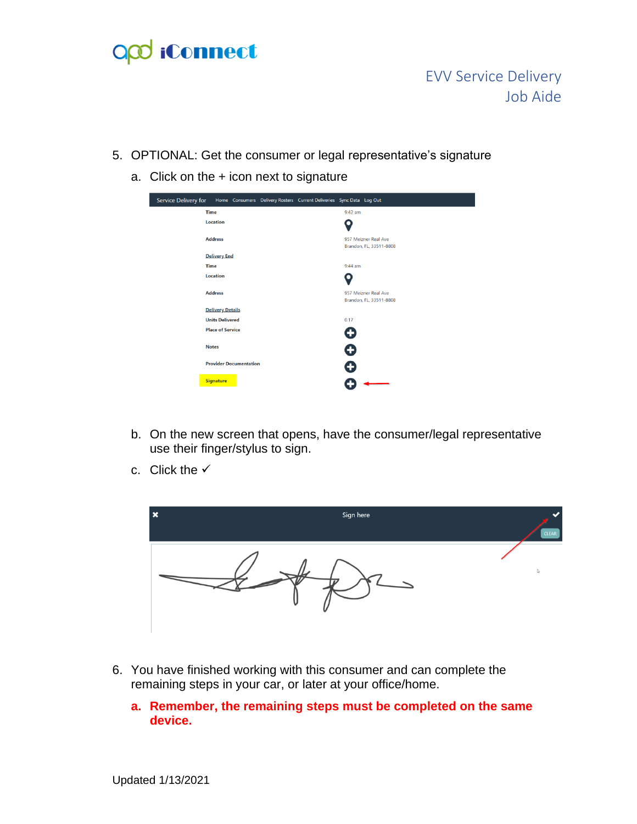# O<sub>co</sub> iConnect

## EVV Service Delivery Job Aide

- 5. OPTIONAL: Get the consumer or legal representative's signature
	- a. Click on the + icon next to signature



- b. On the new screen that opens, have the consumer/legal representative use their finger/stylus to sign.
- c. Click the  $\checkmark$



- 6. You have finished working with this consumer and can complete the remaining steps in your car, or later at your office/home.
	- **a. Remember, the remaining steps must be completed on the same device.**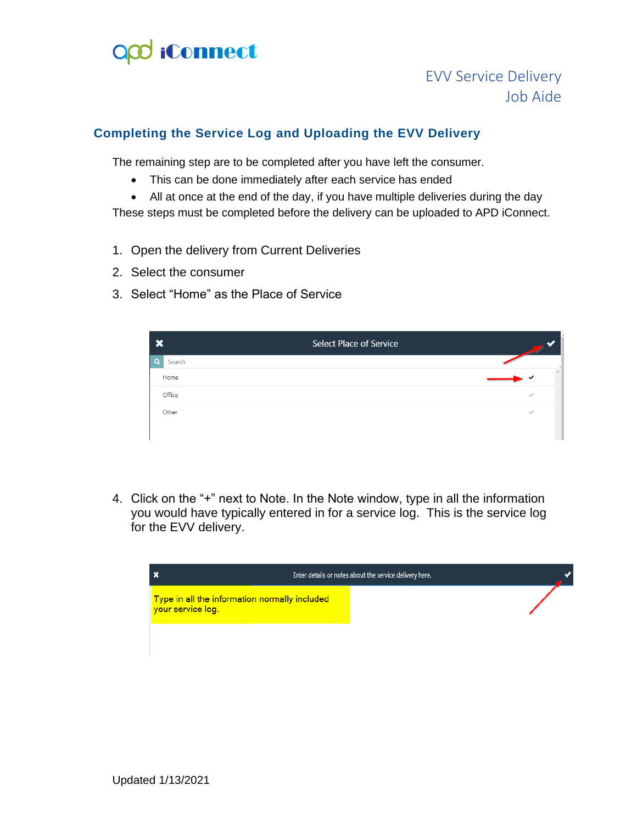

## EVV Service Delivery Job Aide

#### **Completing the Service Log and Uploading the EVV Delivery**

The remaining step are to be completed after you have left the consumer.

- This can be done immediately after each service has ended
- All at once at the end of the day, if you have multiple deliveries during the day

These steps must be completed before the delivery can be uploaded to APD iConnect.

- 1. Open the delivery from Current Deliveries
- 2. Select the consumer
- 3. Select "Home" as the Place of Service

| $\mathbf x$        | <b>Select Place of Service</b> |               |
|--------------------|--------------------------------|---------------|
| $\alpha$<br>Search |                                |               |
| Home               |                                |               |
| Office             |                                | $\mathcal{A}$ |
| Other              |                                | $\sim$        |
|                    |                                |               |

4. Click on the "+" next to Note. In the Note window, type in all the information you would have typically entered in for a service log. This is the service log for the EVV delivery.